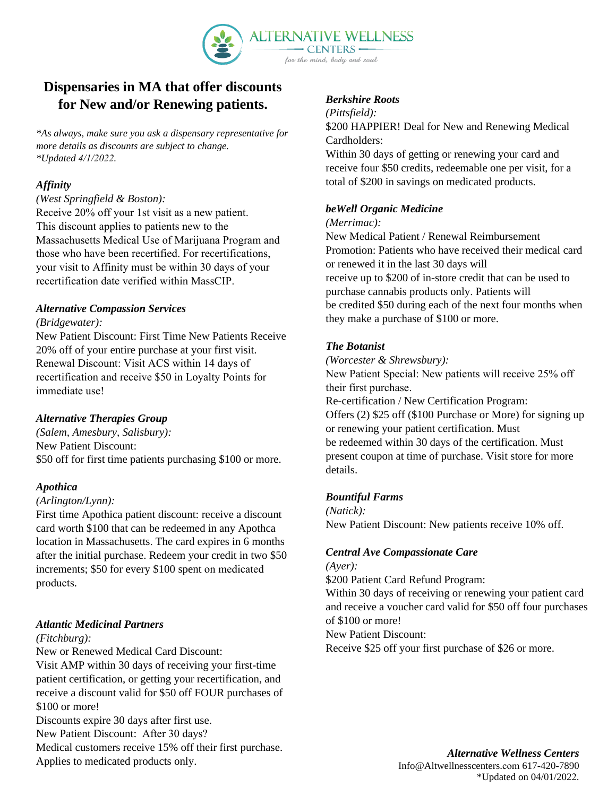

# **Dispensaries in MA that offer discounts for New and/or Renewing patients.**

*\*As always, make sure you ask a dispensary representative for more details as discounts are subject to change. \*Updated 4/1/2022.*

## *Affinity*

### *(West Springfield & Boston):*

Receive 20% off your 1st visit as a new patient. This discount applies to patients new to the Massachusetts Medical Use of Marijuana Program and those who have been recertified. For recertifications, your visit to Affinity must be within 30 days of your recertification date verified within MassCIP.

### *Alternative Compassion Services*

#### *(Bridgewater):*

New Patient Discount: First Time New Patients Receive 20% off of your entire purchase at your first visit. Renewal Discount: Visit ACS within 14 days of recertification and receive \$50 in Loyalty Points for immediate use!

## *Alternative Therapies Group*

*(Salem, Amesbury, Salisbury):*  New Patient Discount: \$50 off for first time patients purchasing \$100 or more.

### *Apothica*

### *(Arlington/Lynn):*

First time Apothica patient discount: receive a discount card worth \$100 that can be redeemed in any Apothca location in Massachusetts. The card expires in 6 months after the initial purchase. Redeem your credit in two \$50 increments; \$50 for every \$100 spent on medicated products.

## *Atlantic Medicinal Partners*

### *(Fitchburg):*

New or Renewed Medical Card Discount:

Visit AMP within 30 days of receiving your first-time patient certification, or getting your recertification, and receive a discount valid for \$50 off FOUR purchases of \$100 or more!

Discounts expire 30 days after first use.

New Patient Discount: After 30 days?

Medical customers receive 15% off their first purchase.

Applies to medicated products only.

### *Berkshire Roots*

#### *(Pittsfield):*

\$200 HAPPIER! Deal for New and Renewing Medical Cardholders:

Within 30 days of getting or renewing your card and receive four \$50 credits, redeemable one per visit, for a total of \$200 in savings on medicated products.

### *beWell Organic Medicine*

#### *(Merrimac):*

New Medical Patient / Renewal Reimbursement Promotion: Patients who have received their medical card or renewed it in the last 30 days will receive up to \$200 of in-store credit that can be used to purchase cannabis products only. Patients will be credited \$50 during each of the next four months when they make a purchase of \$100 or more.

## *The Botanist*

*(Worcester & Shrewsbury):* 

New Patient Special: New patients will receive 25% off their first purchase. Re-certification / New Certification Program: Offers (2) \$25 off (\$100 Purchase or More) for signing up or renewing your patient certification. Must be redeemed within 30 days of the certification. Must present coupon at time of purchase. Visit store for more details.

### *Bountiful Farms*

*(Natick):*  New Patient Discount: New patients receive 10% off.

## *Central Ave Compassionate Care*

*(Ayer):* 

\$200 Patient Card Refund Program:

Within 30 days of receiving or renewing your patient card and receive a voucher card valid for \$50 off four purchases of \$100 or more!

New Patient Discount:

Receive \$25 off your first purchase of \$26 or more.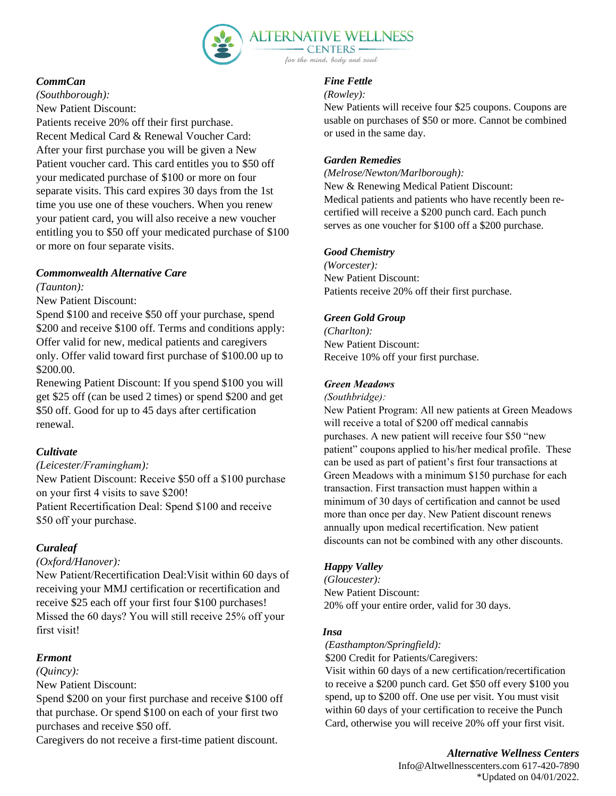

## *CommCan*

*(Southborough):*  New Patient Discount: Patients receive 20% off their first purchase. Recent Medical Card & Renewal Voucher Card: After your first purchase you will be given a New Patient voucher card. This card entitles you to \$50 off your medicated purchase of \$100 or more on four separate visits. This card expires 30 days from the 1st time you use one of these vouchers. When you renew your patient card, you will also receive a new voucher entitling you to \$50 off your medicated purchase of \$100 or more on four separate visits.

## *Commonwealth Alternative Care*

*(Taunton):* 

New Patient Discount:

Spend \$100 and receive \$50 off your purchase, spend \$200 and receive \$100 off. Terms and conditions apply: Offer valid for new, medical patients and caregivers only. Offer valid toward first purchase of \$100.00 up to \$200.00.

Renewing Patient Discount: If you spend \$100 you will get \$25 off (can be used 2 times) or spend \$200 and get \$50 off. Good for up to 45 days after certification renewal.

## *Cultivate*

### *(Leicester/Framingham):*

New Patient Discount: Receive \$50 off a \$100 purchase on your first 4 visits to save \$200! Patient Recertification Deal: Spend \$100 and receive \$50 off your purchase.

## *Curaleaf*

### *(Oxford/Hanover):*

New Patient/Recertification Deal:Visit within 60 days of receiving your MMJ certification or recertification and receive \$25 each off your first four \$100 purchases! Missed the 60 days? You will still receive 25% off your first visit!

## *Ermont*

*(Quincy):* 

New Patient Discount:

Spend \$200 on your first purchase and receive \$100 off that purchase. Or spend \$100 on each of your first two purchases and receive \$50 off.

Caregivers do not receive a first-time patient discount.

#### *Fine Fettle*

### *(Rowley):*

New Patients will receive four \$25 coupons. Coupons are usable on purchases of \$50 or more. Cannot be combined or used in the same day.

### *Garden Remedies*

*(Melrose/Newton/Marlborough):*  New & Renewing Medical Patient Discount:

Medical patients and patients who have recently been recertified will receive a \$200 punch card. Each punch serves as one voucher for \$100 off a \$200 purchase.

## *Good Chemistry*

*(Worcester):*  New Patient Discount: Patients receive 20% off their first purchase.

## *Green Gold Group*

*(Charlton):*  New Patient Discount: Receive 10% off your first purchase.

## *Green Meadows*

*(Southbridge):*

New Patient Program: All new patients at Green Meadows will receive a total of \$200 off medical cannabis purchases. A new patient will receive four \$50 "new patient" coupons applied to his/her medical profile. These can be used as part of patient's first four transactions at Green Meadows with a minimum \$150 purchase for each transaction. First transaction must happen within a minimum of 30 days of certification and cannot be used more than once per day. New Patient discount renews annually upon medical recertification. New patient discounts can not be combined with any other discounts.

## *Happy Valley*

*(Gloucester):*  New Patient Discount: 20% off your entire order, valid for 30 days.

## *Insa*

*(Easthampton/Springfield):* 

\$200 Credit for Patients/Caregivers:

Visit within 60 days of a new certification/recertification to receive a \$200 punch card. Get \$50 off every \$100 you spend, up to \$200 off. One use per visit. You must visit within 60 days of your certification to receive the Punch Card, otherwise you will receive 20% off your first visit.

## *Alternative Wellness Centers*

Info@Altwellnesscenters.com 617-420-7890 \*Updated on 04/01/2022.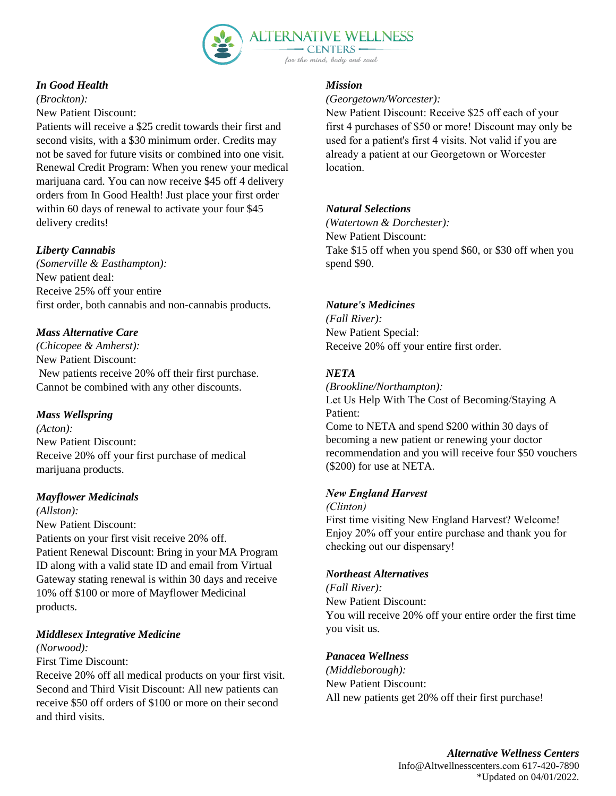

## *In Good Health*

*(Brockton):* New Patient Discount:

Patients will receive a \$25 credit towards their first and second visits, with a \$30 minimum order. Credits may not be saved for future visits or combined into one visit. Renewal Credit Program: When you renew your medical marijuana card. You can now receive \$45 off 4 delivery orders from In Good Health! Just place your first order within 60 days of renewal to activate your four \$45 delivery credits!

## *Liberty Cannabis*

*(Somerville & Easthampton):*  New patient deal: Receive 25% off your entire first order, both cannabis and non-cannabis products.

## *Mass Alternative Care*

*(Chicopee & Amherst):*  New Patient Discount: New patients receive 20% off their first purchase. Cannot be combined with any other discounts.

## *Mass Wellspring*

*(Acton):*  New Patient Discount: Receive 20% off your first purchase of medical marijuana products.

## *Mayflower Medicinals*

*(Allston):* New Patient Discount: Patients on your first visit receive 20% off. Patient Renewal Discount: Bring in your MA Program ID along with a valid state ID and email from Virtual Gateway stating renewal is within 30 days and receive 10% off \$100 or more of Mayflower Medicinal products.

## *Middlesex Integrative Medicine*

## *(Norwood):*

## First Time Discount:

Receive 20% off all medical products on your first visit. Second and Third Visit Discount: All new patients can receive \$50 off orders of \$100 or more on their second and third visits.

## *Mission*

### *(Georgetown/Worcester):*

New Patient Discount: Receive \$25 off each of your first 4 purchases of \$50 or more! Discount may only be used for a patient's first 4 visits. Not valid if you are already a patient at our Georgetown or Worcester location.

## *Natural Selections*

*(Watertown & Dorchester):*  New Patient Discount: Take \$15 off when you spend \$60, or \$30 off when you spend \$90.

## *Nature's Medicines*

*(Fall River):*  New Patient Special: Receive 20% off your entire first order.

## *NETA*

*(Brookline/Northampton):*  Let Us Help With The Cost of Becoming/Staying A Patient: Come to NETA and spend \$200 within 30 days of becoming a new patient or renewing your doctor recommendation and you will receive four \$50 vouchers (\$200) for use at NETA.

## *New England Harvest*

*(Clinton)*

First time visiting New England Harvest? Welcome! Enjoy 20% off your entire purchase and thank you for checking out our dispensary!

## *Northeast Alternatives*

*(Fall River):*  New Patient Discount: You will receive 20% off your entire order the first time you visit us.

## *Panacea Wellness*

*(Middleborough):*  New Patient Discount: All new patients get 20% off their first purchase!